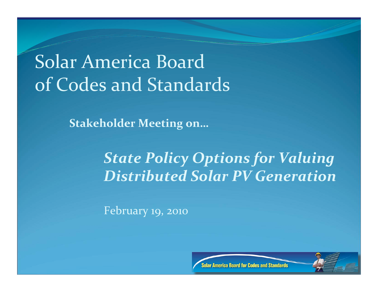### Solar
America
Board of
Codes
and
Standards

**Stakeholder
Meeting
on…**

#### *State
Policy
Options
for
Valuing Distributed
Solar
PV
Generation*

February
19,
2010



Solar America Board for Codes and Standards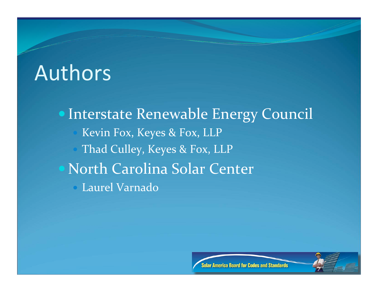### Authors

• Interstate Renewable Energy Council Kevin
Fox,
Keyes
&
Fox,
LLP Thad Culley, Keyes & Fox, LLP North
Carolina
Solar
Center Laurel
Varnado



**Solar America Board for Codes and Standards**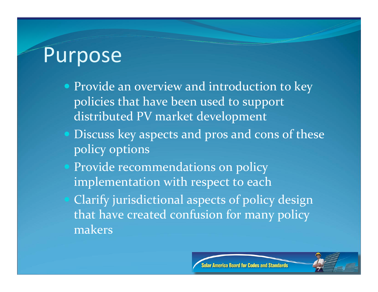#### **Purpose**

- Provide an overview and introduction to key policies
that
have
been
used
to
support distributed
PV
market
development
- Discuss
key
aspects
and
pros
and
cons
of
these policy
options
- Provide recommendations on policy implementation with respect to each Clarify
jurisdictional
aspects
of
policy
design that have created confusion for many policy makers

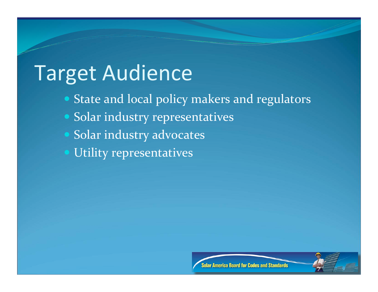# Target
Audience

- State and local policy makers and regulators
- Solar
industry
representatives
- Solar
industry
advocates
- Utility
representatives



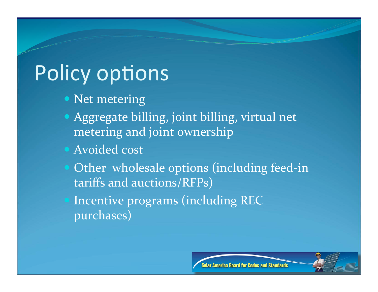# Policy options

- Net metering
- Aggregate
billing,
joint
billing,
virtual
net metering
and
joint
ownership
- Avoided
cost
- Other wholesale options (including feed-in tariffs
and
auctions/RFPs)
	- Incentive
	programs
	(including
	REC purchases)

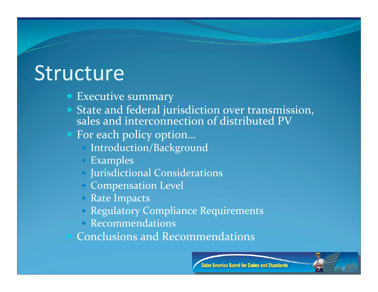### Structure

- **Executive summary**
- State
and
federal
jurisdiction
over
transmission, sales and interconnection of distributed PV
- For each policy option...
	- Introduction/Background
	- Examples
	- Jurisdictional
	Considerations
	- Compensation
	Level
	- Rate Impacts
	- Regulatory Compliance Requirements
	- Recommendations

Conclusions
and
Recommendations

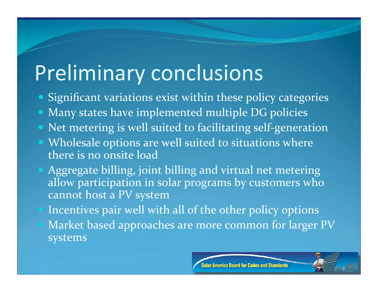## Preliminary
conclusions

- Significant variations exist within these policy categories
- Many states have implemented multiple DG policies
- Net metering is well suited to facilitating self-generation
- Wholesale options are well suited to situations where there is no onsite load
- Aggregate billing, joint billing and virtual net metering allow participation in solar programs by customers who cannot
host
a
PV
system
	- Incentives pair well with all of the other policy options Market
	based
	approaches
	are
	more
	common
	for
	larger
	PV systems

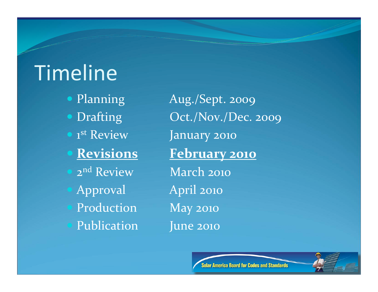# **Timeline**

**1st Review** January 2010 2nd
Review March
2010 Approval April
2010 Production May 2010 Publication June 2010

• Planning Aug./Sept. 2009 • Drafting  $Oct./Nov./Dec. 2009$ **Revisions February
2010**